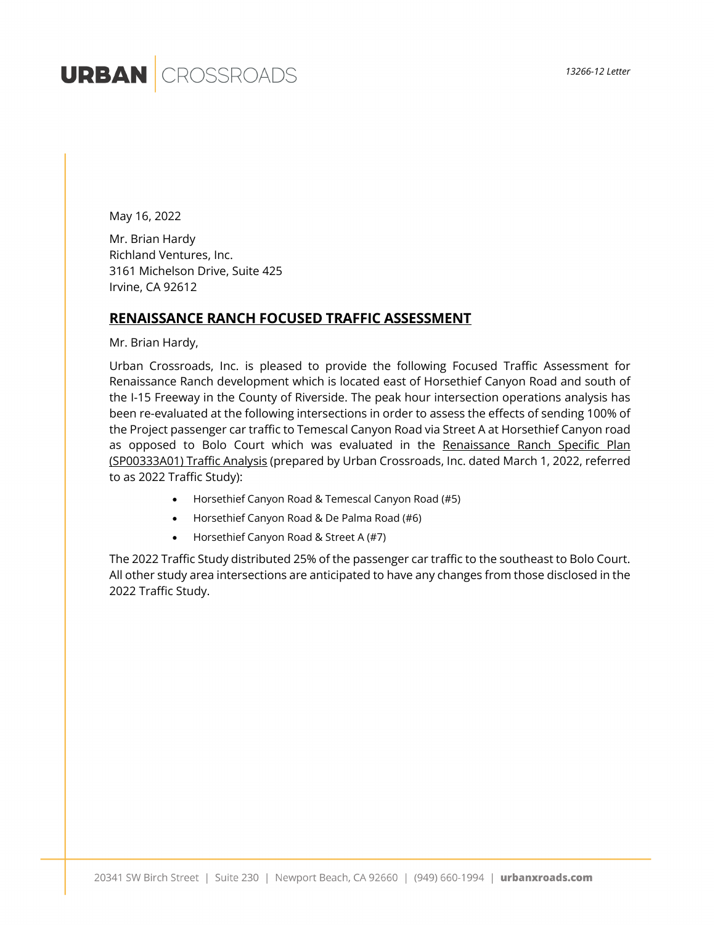# **URBAN** CROSSROADS

May 16, 2022

Mr. Brian Hardy Richland Ventures, Inc. 3161 Michelson Drive, Suite 425 Irvine, CA 92612

#### **RENAISSANCE RANCH FOCUSED TRAFFIC ASSESSMENT**

Mr. Brian Hardy,

Urban Crossroads, Inc. is pleased to provide the following Focused Traffic Assessment for Renaissance Ranch development which is located east of Horsethief Canyon Road and south of the I-15 Freeway in the County of Riverside. The peak hour intersection operations analysis has been re-evaluated at the following intersections in order to assess the effects of sending 100% of the Project passenger car traffic to Temescal Canyon Road via Street A at Horsethief Canyon road as opposed to Bolo Court which was evaluated in the Renaissance Ranch Specific Plan (SP00333A01) Traffic Analysis (prepared by Urban Crossroads, Inc. dated March 1, 2022, referred to as 2022 Traffic Study):

- Horsethief Canyon Road & Temescal Canyon Road (#5)
- Horsethief Canyon Road & De Palma Road (#6)
- Horsethief Canyon Road & Street A (#7)

The 2022 Traffic Study distributed 25% of the passenger car traffic to the southeast to Bolo Court. All other study area intersections are anticipated to have any changes from those disclosed in the 2022 Traffic Study.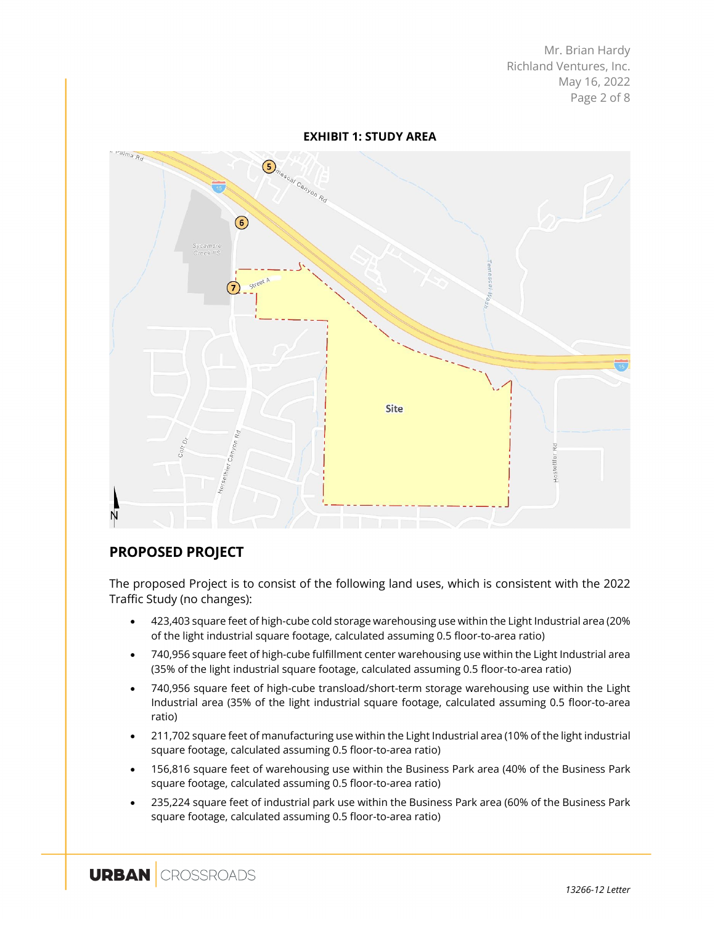Mr. Brian Hardy Richland Ventures, Inc. May 16, 2022 Page 2 of 8

**EXHIBIT 1: STUDY AREA** - ralma Rd  $\overbrace{\left( \begin{matrix} \mathbf{S}_{n_{e_{s_{c_{a}}}}}\cdot\cdot\cdot\cdot\\ \mathbf{S}_{n_{e_{s_{c_{a}}}}} \cdot\cdot\cdot\cdot\\ \mathbf{S}_{n_{a}}\cdot\cdot\cdot\cdot\\ \mathbf{S}_{n_{a}}\cdot\cdot\cdot\cdot\cdot\\ \mathbf{S}_{n_{a}}\cdot\cdot\cdot\cdot\cdot\\ \mathbf{S}_{n_{a}}\cdot\cdot\cdot\cdot\cdot\cdot\\ \mathbf{S}_{n_{a}}\cdot\cdot\cdot\cdot\cdot\cdot\\ \mathbf{S}_{n_{a}}\cdot\cdot\cdot\cdot\cdot\cdot\\ \mathbf{S}_{n_{a}}\cdot\cdot\cdot\cdot\cdot\cdot\\ \mathbf{$  $\odot$ Site

## **PROPOSED PROJECT**

The proposed Project is to consist of the following land uses, which is consistent with the 2022 Traffic Study (no changes):

- 423,403 square feet of high-cube cold storage warehousing use within the Light Industrial area (20% of the light industrial square footage, calculated assuming 0.5 floor-to-area ratio)
- 740,956 square feet of high-cube fulfillment center warehousing use within the Light Industrial area (35% of the light industrial square footage, calculated assuming 0.5 floor-to-area ratio)
- 740,956 square feet of high-cube transload/short-term storage warehousing use within the Light Industrial area (35% of the light industrial square footage, calculated assuming 0.5 floor-to-area ratio)
- 211,702 square feet of manufacturing use within the Light Industrial area (10% of the light industrial square footage, calculated assuming 0.5 floor-to-area ratio)
- 156,816 square feet of warehousing use within the Business Park area (40% of the Business Park square footage, calculated assuming 0.5 floor-to-area ratio)
- 235,224 square feet of industrial park use within the Business Park area (60% of the Business Park square footage, calculated assuming 0.5 floor-to-area ratio)

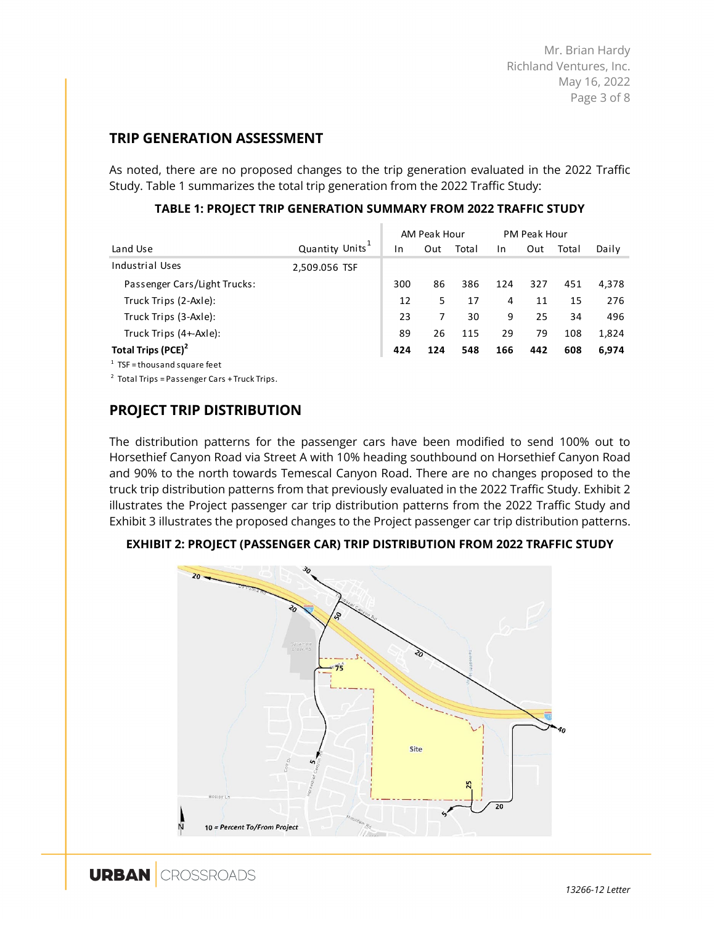Mr. Brian Hardy Richland Ventures, Inc. May 16, 2022 Page 3 of 8

#### **TRIP GENERATION ASSESSMENT**

As noted, there are no proposed changes to the trip generation evaluated in the 2022 Traffic Study. Table 1 summarizes the total trip generation from the 2022 Traffic Study:

|                                 |                |     | AM Peak Hour |       | PM Peak Hour |     |       |       |
|---------------------------------|----------------|-----|--------------|-------|--------------|-----|-------|-------|
| Land Use                        | Quantity Units | 1n  | Out          | Total | In           | Out | Total | Daily |
| Industrial Uses                 | 2,509.056 TSF  |     |              |       |              |     |       |       |
| Passenger Cars/Light Trucks:    |                | 300 | 86           | 386   | 124          | 327 | 451   | 4.378 |
| Truck Trips (2-Axle):           |                | 12  | 5            | 17    | 4            | 11  | 15    | 276   |
| Truck Trips (3-Axle):           |                | 23  | 7            | 30    | 9            | 25  | 34    | 496   |
| Truck Trips (4+-Axle):          |                | 89  | 26           | 115   | 29           | 79  | 108   | 1,824 |
| Total Trips (PCE) <sup>2</sup>  |                | 424 | 124          | 548   | 166          | 442 | 608   | 6.974 |
| $1$ TSF = thous and square feet |                |     |              |       |              |     |       |       |

#### **TABLE 1: PROJECT TRIP GENERATION SUMMARY FROM 2022 TRAFFIC STUDY**

 $2$  Total Trips = Passenger Cars + Truck Trips.

### **PROJECT TRIP DISTRIBUTION**

The distribution patterns for the passenger cars have been modified to send 100% out to Horsethief Canyon Road via Street A with 10% heading southbound on Horsethief Canyon Road and 90% to the north towards Temescal Canyon Road. There are no changes proposed to the truck trip distribution patterns from that previously evaluated in the 2022 Traffic Study. Exhibit 2 illustrates the Project passenger car trip distribution patterns from the 2022 Traffic Study and Exhibit 3 illustrates the proposed changes to the Project passenger car trip distribution patterns.

**EXHIBIT 2: PROJECT (PASSENGER CAR) TRIP DISTRIBUTION FROM 2022 TRAFFIC STUDY**

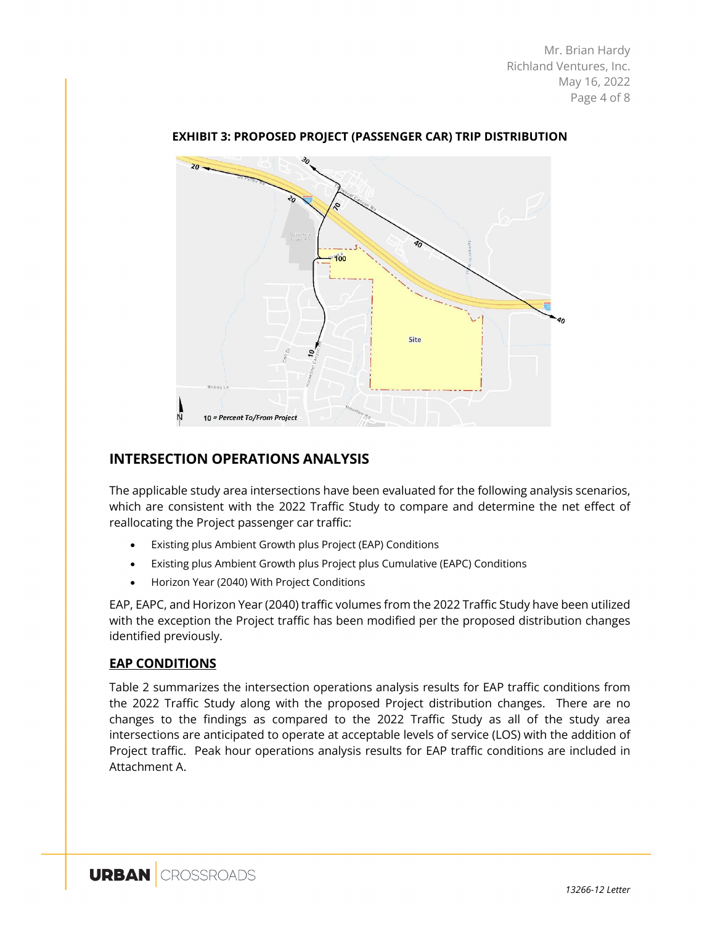Mr. Brian Hardy Richland Ventures, Inc. May 16, 2022 Page 4 of 8



**EXHIBIT 3: PROPOSED PROJECT (PASSENGER CAR) TRIP DISTRIBUTION**

#### **INTERSECTION OPERATIONS ANALYSIS**

The applicable study area intersections have been evaluated for the following analysis scenarios, which are consistent with the 2022 Traffic Study to compare and determine the net effect of reallocating the Project passenger car traffic:

- Existing plus Ambient Growth plus Project (EAP) Conditions
- Existing plus Ambient Growth plus Project plus Cumulative (EAPC) Conditions
- Horizon Year (2040) With Project Conditions

EAP, EAPC, and Horizon Year (2040) traffic volumes from the 2022 Traffic Study have been utilized with the exception the Project traffic has been modified per the proposed distribution changes identified previously.

#### **EAP CONDITIONS**

Table 2 summarizes the intersection operations analysis results for EAP traffic conditions from the 2022 Traffic Study along with the proposed Project distribution changes. There are no changes to the findings as compared to the 2022 Traffic Study as all of the study area intersections are anticipated to operate at acceptable levels of service (LOS) with the addition of Project traffic. Peak hour operations analysis results for EAP traffic conditions are included in Attachment A.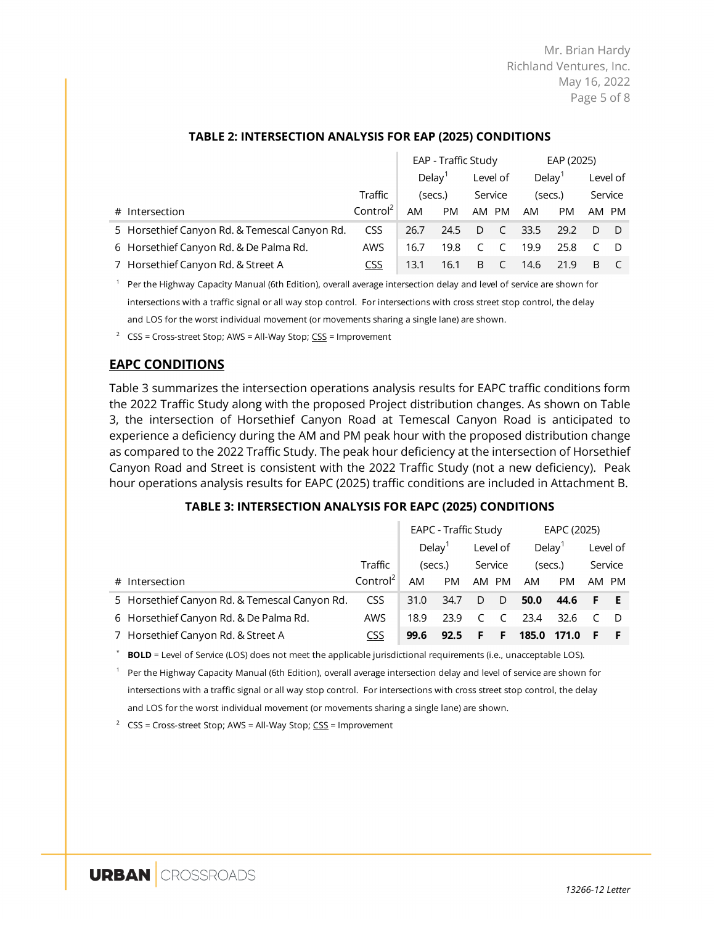Mr. Brian Hardy Richland Ventures, Inc. May 16, 2022 Page 5 of 8

|                                               |                      |                                | EAP - Traffic Study | EAP (2025)    |                    |         |           |          |  |
|-----------------------------------------------|----------------------|--------------------------------|---------------------|---------------|--------------------|---------|-----------|----------|--|
|                                               |                      | Delay <sup>'</sup><br>Level of |                     |               | Delay <sup>1</sup> |         |           | Level of |  |
|                                               | Traffic              | (secs.)                        |                     | Service       |                    | (secs.) |           | Service  |  |
| # Intersection                                | Control <sup>2</sup> | AM                             | <b>PM</b>           | AM PM         |                    | AM      | <b>PM</b> | AM PM    |  |
| 5 Horsethief Canyon Rd. & Temescal Canyon Rd. | <b>CSS</b>           | 26.7                           | 24.5                | D             | $\sim$ C           | 33.5    | 29.2      |          |  |
| 6 Horsethief Canyon Rd. & De Palma Rd.        | AWS.                 | 16.7                           | 19.8                | $\mathcal{C}$ | <sup>-</sup> C     | 19.9    | 25.8      |          |  |
| 7 Horsethief Canyon Rd. & Street A            | <b>CSS</b>           | 13.1                           | 16.1                | B             |                    | 14.6    | 21.9      | B        |  |

#### **TABLE 2: INTERSECTION ANALYSIS FOR EAP (2025) CONDITIONS**

B.

<sup>1</sup> Per the Highway Capacity Manual (6th Edition), overall average intersection delay and level of service are shown for intersections with a traffic signal or all way stop control. For intersections with cross street stop control, the delay and LOS for the worst individual movement (or movements sharing a single lane) are shown.

<sup>2</sup>  $CSS = Cross-street Stop$ ;  $AWS = All-Way Stop$ ;  $CSS = Improvement$ 

#### **EAPC CONDITIONS**

Table 3 summarizes the intersection operations analysis results for EAPC traffic conditions form the 2022 Traffic Study along with the proposed Project distribution changes. As shown on Table 3, the intersection of Horsethief Canyon Road at Temescal Canyon Road is anticipated to experience a deficiency during the AM and PM peak hour with the proposed distribution change as compared to the 2022 Traffic Study. The peak hour deficiency at the intersection of Horsethief Canyon Road and Street is consistent with the 2022 Traffic Study (not a new deficiency). Peak hour operations analysis results for EAPC (2025) traffic conditions are included in Attachment B.

#### **TABLE 3: INTERSECTION ANALYSIS FOR EAPC (2025) CONDITIONS**

|                                               |                      | EAPC - Traffic Study           |           |                    |     |         | EAPC (2025) |         |  |
|-----------------------------------------------|----------------------|--------------------------------|-----------|--------------------|-----|---------|-------------|---------|--|
|                                               |                      | Delay <sup>T</sup><br>Level of |           | Delay <sup>1</sup> |     |         | Level of    |         |  |
|                                               | Traffic              | (secs.)                        |           | Service            |     | (secs.) |             | Service |  |
| # Intersection                                | Control <sup>2</sup> | AM                             | <b>PM</b> | AM PM              |     | AM      | <b>PM</b>   | AM PM   |  |
| 5 Horsethief Canyon Rd. & Temescal Canyon Rd. | CSS                  | 31.0                           | 34.7      | D                  | - D | 50.0    | 44.6 F E    |         |  |
| 6 Horsethief Canyon Rd. & De Palma Rd.        | AWS                  | 18.9                           | 23.9      |                    |     | 23.4    | 32.6        |         |  |
| 7 Horsethief Canyon Rd. & Street A            | <u>CSS</u>           | 99.6                           | 92.5      | F                  | -F  | 185.0   | 171.0       |         |  |

**BOLD** = Level of Service (LOS) does not meet the applicable jurisdictional requirements (i.e., unacceptable LOS).

 $1$  Per the Highway Capacity Manual (6th Edition), overall average intersection delay and level of service are shown for intersections with a traffic signal or all way stop control. For intersections with cross street stop control, the delay and LOS for the worst individual movement (or movements sharing a single lane) are shown.

<sup>2</sup> CSS = Cross-street Stop; AWS = All-Way Stop;  $\overline{CSS}$  = Improvement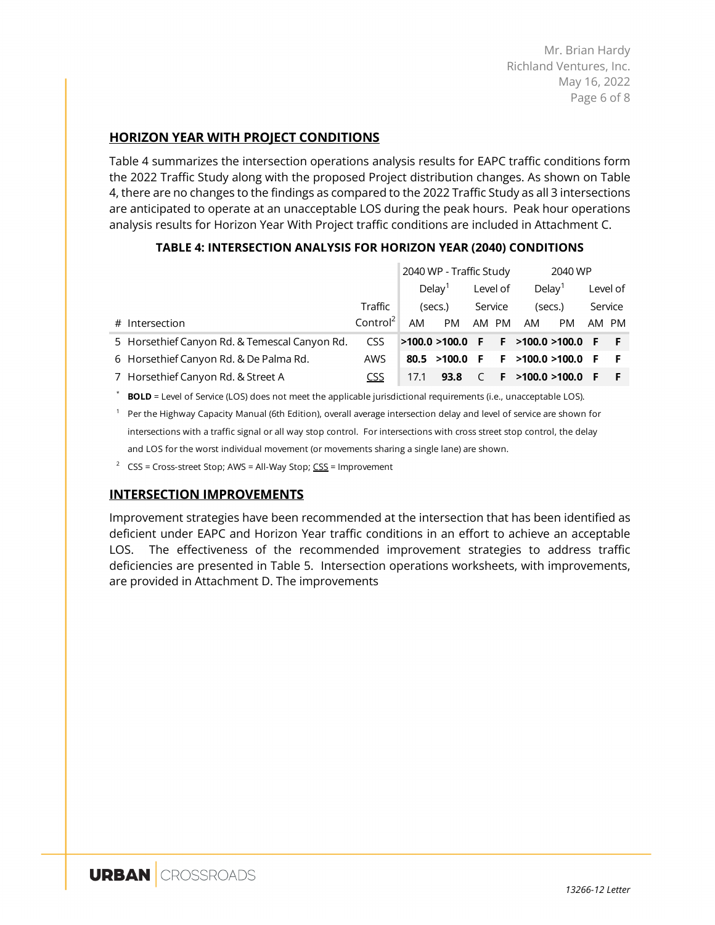Mr. Brian Hardy Richland Ventures, Inc. May 16, 2022 Page 6 of 8

#### **HORIZON YEAR WITH PROJECT CONDITIONS**

Table 4 summarizes the intersection operations analysis results for EAPC traffic conditions form the 2022 Traffic Study along with the proposed Project distribution changes. As shown on Table 4, there are no changes to the findings as compared to the 2022 Traffic Study as all 3 intersections are anticipated to operate at an unacceptable LOS during the peak hours. Peak hour operations analysis results for Horizon Year With Project traffic conditions are included in Attachment C.

|                                               |                      |                     | 2040 WP - Traffic Study |       | 2040 WP   |                     |    |          |       |         |  |
|-----------------------------------------------|----------------------|---------------------|-------------------------|-------|-----------|---------------------|----|----------|-------|---------|--|
|                                               |                      | Deltav <sup>1</sup> | Level of                |       | Delay $1$ |                     |    | Level of |       |         |  |
|                                               | Traffic              |                     | (secs.)                 |       | Service   |                     |    | (secs.)  |       | Service |  |
| # Intersection                                | Control <sup>2</sup> | AM                  | <b>PM</b>               | AM PM |           | AM                  | PM |          | AM PM |         |  |
| 5 Horsethief Canyon Rd. & Temescal Canyon Rd. | <b>CSS</b>           |                     | $>100.0 > 100.0$ F      |       |           | F >100.0 >100.0 F F |    |          |       |         |  |
| 6 Horsethief Canyon Rd. & De Palma Rd.        | AWS                  |                     | 80.5 > 100.0            | F.    |           | F > 100.0 > 100.0   |    | -FF      |       |         |  |
| 7 Horsethief Canyon Rd. & Street A            | CSS                  | 17.1                | 93.8                    |       |           | F > 100.0 > 100.0   |    | - F      |       |         |  |

#### **TABLE 4: INTERSECTION ANALYSIS FOR HORIZON YEAR (2040) CONDITIONS**

**BOLD** = Level of Service (LOS) does not meet the applicable jurisdictional requirements (i.e., unacceptable LOS).

 $1$  Per the Highway Capacity Manual (6th Edition), overall average intersection delay and level of service are shown for intersections with a traffic signal or all way stop control. For intersections with cross street stop control, the delay and LOS for the worst individual movement (or movements sharing a single lane) are shown.

<sup>2</sup> CSS = Cross-street Stop; AWS = All-Way Stop;  $CSS$  = Improvement</u>

#### **INTERSECTION IMPROVEMENTS**

Improvement strategies have been recommended at the intersection that has been identified as deficient under EAPC and Horizon Year traffic conditions in an effort to achieve an acceptable LOS. The effectiveness of the recommended improvement strategies to address traffic deficiencies are presented in Table 5. Intersection operations worksheets, with improvements, are provided in Attachment D. The improvements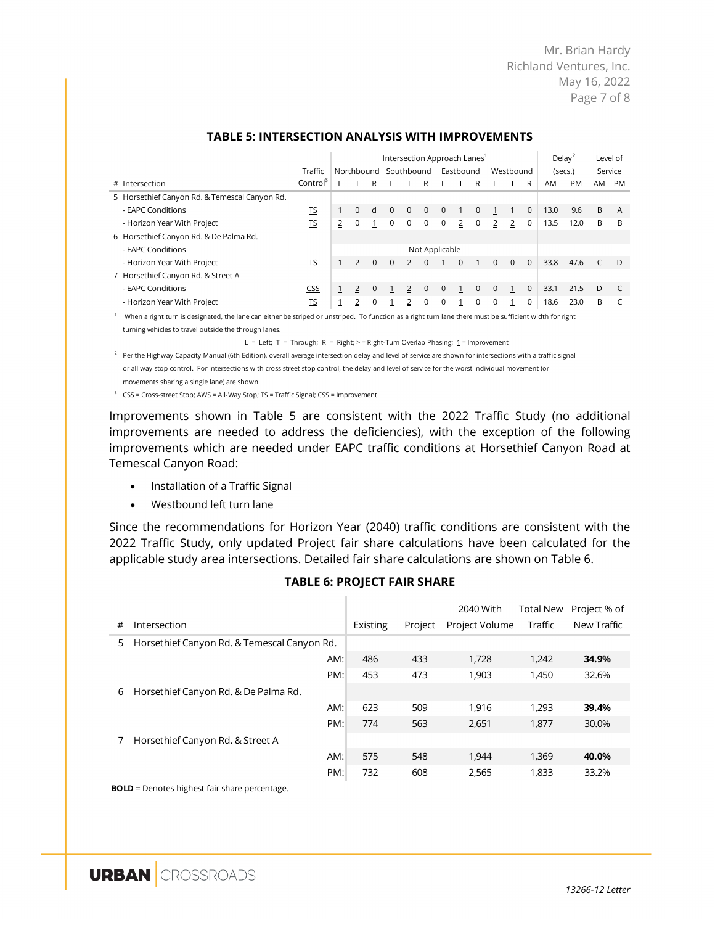Mr. Brian Hardy Richland Ventures, Inc. May 16, 2022 Page 7 of 8

|                                                                                                                                                         |                      |              | Intersection Approach Lanes' |              |             |                       |              |                | Delay <sup>2</sup> |             | Level of    |              |              |         |           |       |         |
|---------------------------------------------------------------------------------------------------------------------------------------------------------|----------------------|--------------|------------------------------|--------------|-------------|-----------------------|--------------|----------------|--------------------|-------------|-------------|--------------|--------------|---------|-----------|-------|---------|
|                                                                                                                                                         | Traffic              |              |                              |              |             | Northbound Southbound |              |                | Eastbound          |             |             | Westbound    |              | (secs.) |           |       | Service |
| # Intersection                                                                                                                                          | Control <sup>3</sup> |              |                              | R            |             |                       | R            |                |                    | R           |             |              | R            | AM      | <b>PM</b> | AM PM |         |
| 5 Horsethief Canyon Rd. & Temescal Canyon Rd.                                                                                                           |                      |              |                              |              |             |                       |              |                |                    |             |             |              |              |         |           |       |         |
| - EAPC Conditions                                                                                                                                       | TS                   | $\mathbf{1}$ | $\Omega$                     | d            | $\Omega$    | $\Omega$              | $\Omega$     | $\Omega$       |                    | $\Omega$    |             |              | $\mathbf{0}$ | 13.0    | 9.6       | B     | A       |
| - Horizon Year With Project                                                                                                                             | <u>TS</u>            | 2            | 0                            |              | $\Omega$    | 0                     | 0            | 0              | 2                  | $\mathbf 0$ | 2           | 2            | 0            | 13.5    | 12.0      | B     | B       |
| 6 Horsethief Canyon Rd. & De Palma Rd.                                                                                                                  |                      |              |                              |              |             |                       |              |                |                    |             |             |              |              |         |           |       |         |
| - EAPC Conditions                                                                                                                                       |                      |              |                              |              |             |                       |              | Not Applicable |                    |             |             |              |              |         |           |       |         |
| - Horizon Year With Project                                                                                                                             | TS                   | $\mathbf{1}$ |                              | $\mathbf{0}$ | $\mathbf 0$ | $\overline{2}$        | $\mathbf{0}$ |                | $\mathbf{0}$       |             | $\Omega$    | $\Omega$     | $\Omega$     | 33.8    | 47.6      |       | - D     |
| 7 Horsethief Canyon Rd. & Street A                                                                                                                      |                      |              |                              |              |             |                       |              |                |                    |             |             |              |              |         |           |       |         |
| - EAPC Conditions                                                                                                                                       | <b>CSS</b>           |              |                              | $\Omega$     |             | 2                     | $\Omega$     | $\Omega$       | $\mathbf{1}$       | $\Omega$    | $\mathbf 0$ | $\mathbf{1}$ | $\mathbf{0}$ | 33.1    | 21.5      | D.    |         |
| - Horizon Year With Project                                                                                                                             | <u>TS</u>            | 1            |                              | 0            |             | 2                     | 0            | 0              |                    | $\mathbf 0$ | 0           |              | 0            | 18.6    | 23.0      | B     |         |
| When a right turn is designated, the lane can either be striped or unstriped. To function as a right turn lane there must be sufficient width for right |                      |              |                              |              |             |                       |              |                |                    |             |             |              |              |         |           |       |         |

#### **TABLE 5: INTERSECTION ANALYSIS WITH IMPROVEMENTS**

turning vehicles to travel outside the through lanes.

L = Left; T = Through; R = Right; > = Right-Turn Overlap Phasing;  $1$  = Improvement

 $2$  Per the Highway Capacity Manual (6th Edition), overall average intersection delay and level of service are shown for intersections with a traffic signal or all way stop control. For intersections with cross street stop control, the delay and level of service for the worst individual movement (or movements sharing a single lane) are shown.

 $3$  CSS = Cross-street Stop; AWS = All-Way Stop; TS = Traffic Signal; CSS = Improvement

Improvements shown in Table 5 are consistent with the 2022 Traffic Study (no additional improvements are needed to address the deficiencies), with the exception of the following improvements which are needed under EAPC traffic conditions at Horsethief Canyon Road at Temescal Canyon Road:

- Installation of a Traffic Signal
- Westbound left turn lane

Since the recommendations for Horizon Year (2040) traffic conditions are consistent with the 2022 Traffic Study, only updated Project fair share calculations have been calculated for the applicable study area intersections. Detailed fair share calculations are shown on Table 6.

| <b>TABLE 6: PROJECT FAIR SHARE</b> |  |
|------------------------------------|--|
|                                    |  |

|   |                                             |     |          |         | 2040 With      | <b>Total New</b> | Project % of |
|---|---------------------------------------------|-----|----------|---------|----------------|------------------|--------------|
| # | Intersection                                |     | Existing | Project | Project Volume | Traffic          | New Traffic  |
| 5 | Horsethief Canyon Rd. & Temescal Canyon Rd. |     |          |         |                |                  |              |
|   |                                             | AM: | 486      | 433     | 1,728          | 1.242            | 34.9%        |
|   |                                             | PM: | 453      | 473     | 1.903          | 1.450            | 32.6%        |
| 6 | Horsethief Canyon Rd. & De Palma Rd.        |     |          |         |                |                  |              |
|   |                                             | AM: | 623      | 509     | 1.916          | 1.293            | 39.4%        |
|   |                                             | PM: | 774      | 563     | 2,651          | 1.877            | 30.0%        |
|   | Horsethief Canyon Rd. & Street A            |     |          |         |                |                  |              |
|   |                                             | AM: | 575      | 548     | 1.944          | 1,369            | 40.0%        |
|   |                                             | PM: | 732      | 608     | 2,565          | 1.833            | 33.2%        |

**BOLD** = Denotes highest fair share percentage.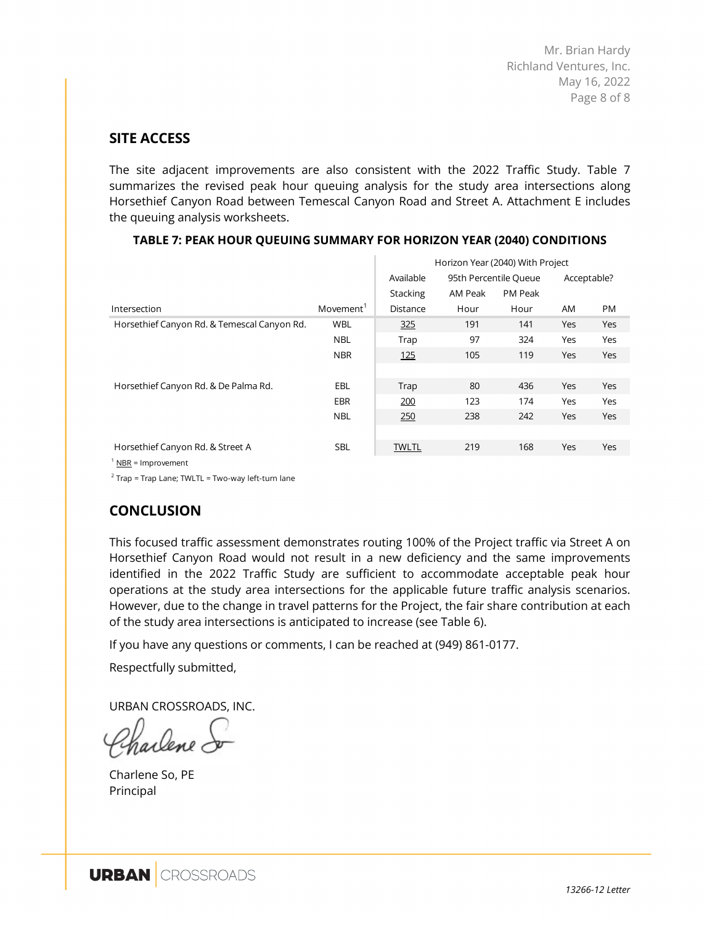## **SITE ACCESS**

The site adjacent improvements are also consistent with the 2022 Traffic Study. Table 7 summarizes the revised peak hour queuing analysis for the study area intersections along Horsethief Canyon Road between Temescal Canyon Road and Street A. Attachment E includes the queuing analysis worksheets.

|                                             |                       | Horizon Year (2040) With Project |                       |                |     |             |  |  |  |  |
|---------------------------------------------|-----------------------|----------------------------------|-----------------------|----------------|-----|-------------|--|--|--|--|
|                                             |                       | Available                        | 95th Percentile Queue |                |     | Acceptable? |  |  |  |  |
|                                             |                       | Stacking                         | AM Peak               | <b>PM Peak</b> |     |             |  |  |  |  |
| Intersection                                | Movement <sup>1</sup> | Distance                         | Hour                  | Hour           | AM  | <b>PM</b>   |  |  |  |  |
| Horsethief Canyon Rd. & Temescal Canyon Rd. | <b>WBL</b>            | 325                              | 191                   | 141            | Yes | Yes         |  |  |  |  |
|                                             | <b>NBL</b>            | Trap                             | 97                    | 324            | Yes | Yes         |  |  |  |  |
|                                             | <b>NBR</b>            | 125                              | 105                   | 119            | Yes | Yes         |  |  |  |  |
|                                             |                       |                                  |                       |                |     |             |  |  |  |  |
| Horsethief Canyon Rd. & De Palma Rd.        | EBL                   | Trap                             | 80                    | 436            | Yes | Yes         |  |  |  |  |
|                                             | EBR                   | 200                              | 123                   | 174            | Yes | Yes         |  |  |  |  |
|                                             | <b>NBL</b>            | 250                              | 238                   | 242            | Yes | Yes         |  |  |  |  |
|                                             |                       |                                  |                       |                |     |             |  |  |  |  |
| Horsethief Canyon Rd. & Street A            | <b>SBL</b>            | <b>TWLTL</b>                     | 219                   | 168            | Yes | Yes         |  |  |  |  |
|                                             |                       |                                  |                       |                |     |             |  |  |  |  |

#### **TABLE 7: PEAK HOUR QUEUING SUMMARY FOR HORIZON YEAR (2040) CONDITIONS**

 $1$  NBR = Improvement

<sup>2</sup> Trap = Trap Lane; TWLTL = Two-way left-turn lane

## **CONCLUSION**

This focused traffic assessment demonstrates routing 100% of the Project traffic via Street A on Horsethief Canyon Road would not result in a new deficiency and the same improvements identified in the 2022 Traffic Study are sufficient to accommodate acceptable peak hour operations at the study area intersections for the applicable future traffic analysis scenarios. However, due to the change in travel patterns for the Project, the fair share contribution at each of the study area intersections is anticipated to increase (see Table 6).

If you have any questions or comments, I can be reached at (949) 861-0177.

Respectfully submitted,

URBAN CROSSROADS, INC.

Charlene So, PE Principal

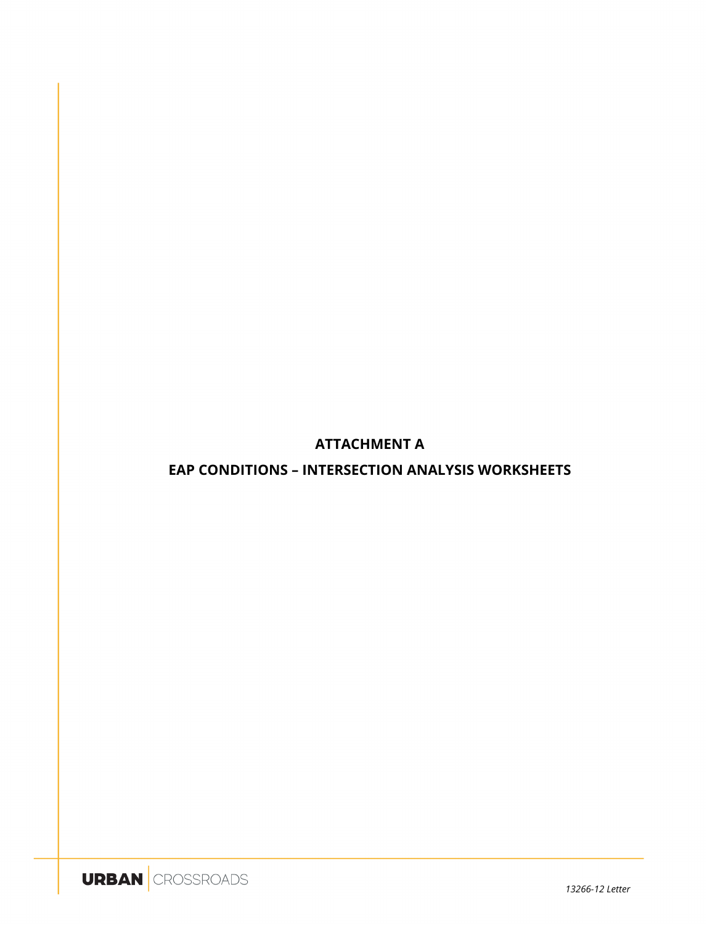## **ATTACHMENT A**

## **EAP CONDITIONS - INTERSECTION ANALYSIS WORKSHEETS**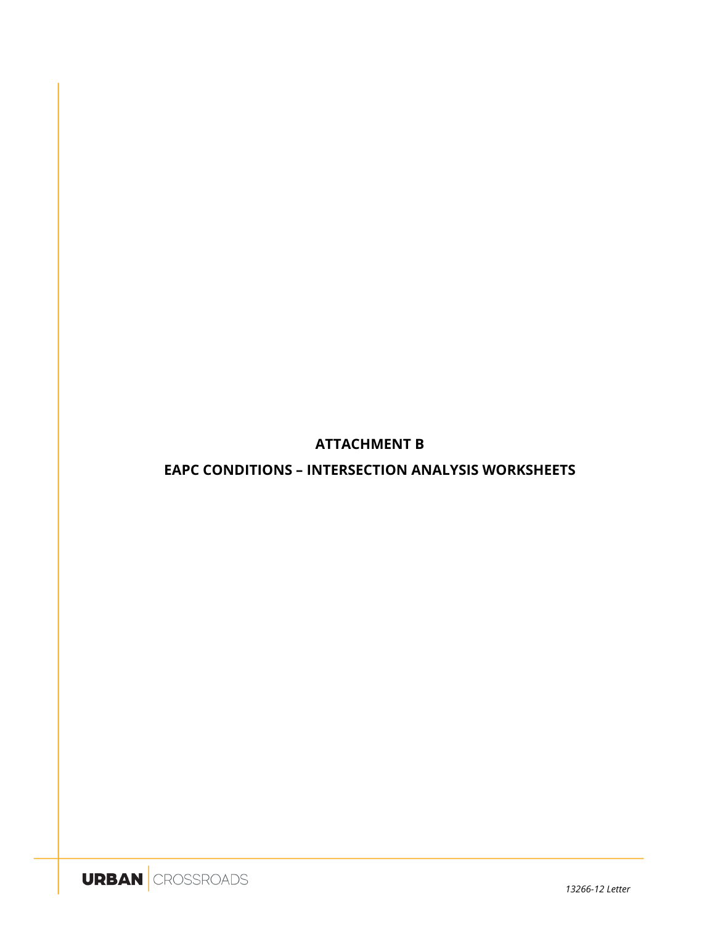**ATTACHMENT B** 

**EAPC CONDITIONS - INTERSECTION ANALYSIS WORKSHEETS** 

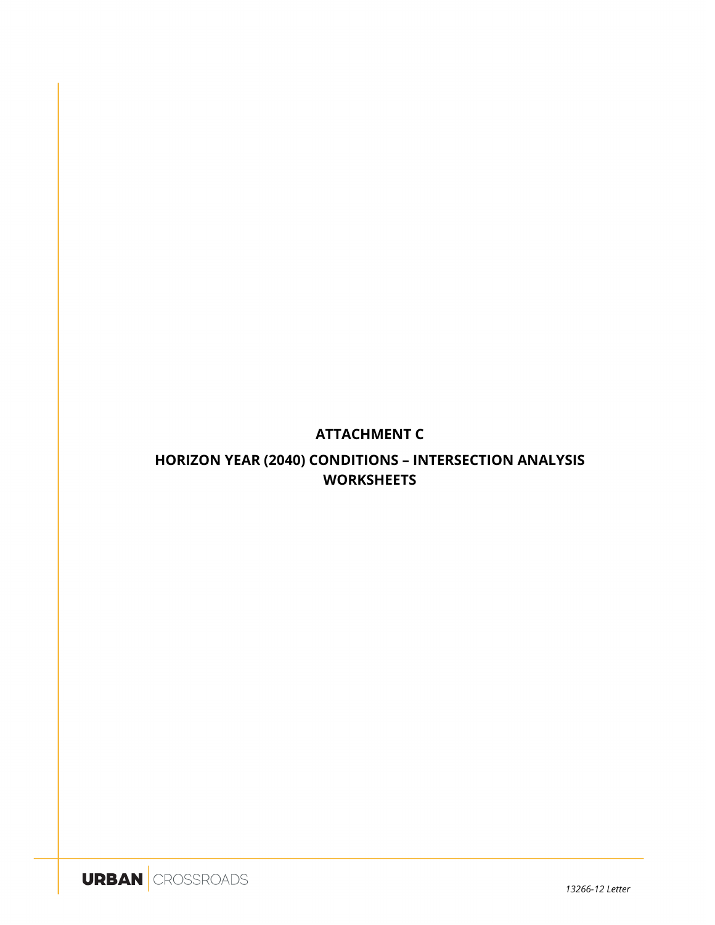## **ATTACHMENT C**

## **HORIZON YEAR (2040) CONDITIONS - INTERSECTION ANALYSIS WORKSHEETS**

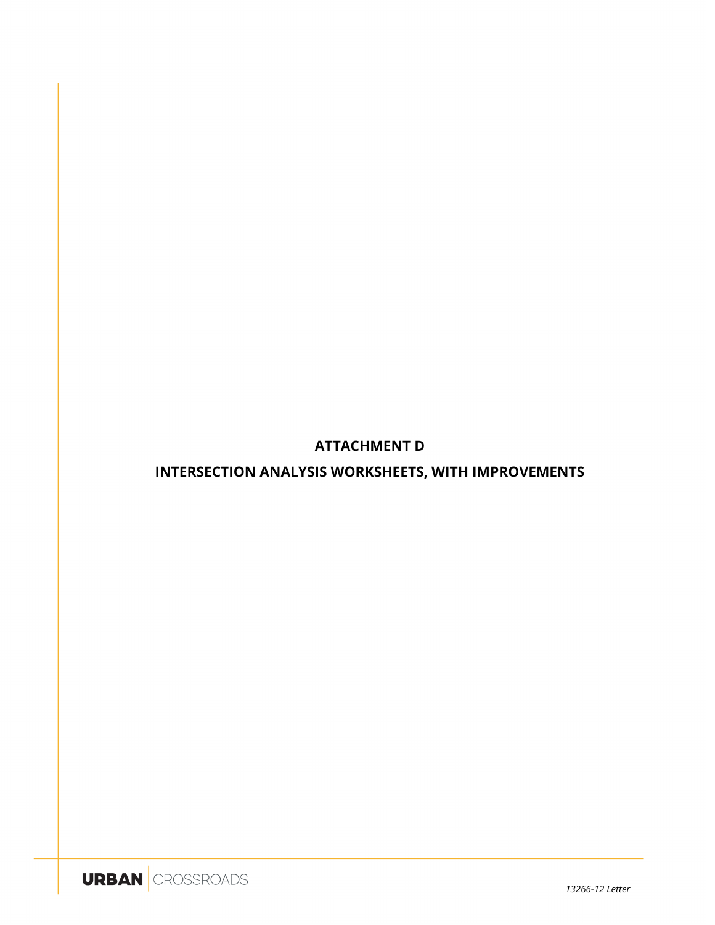## **ATTACHMENT D**

## **INTERSECTION ANALYSIS WORKSHEETS, WITH IMPROVEMENTS**